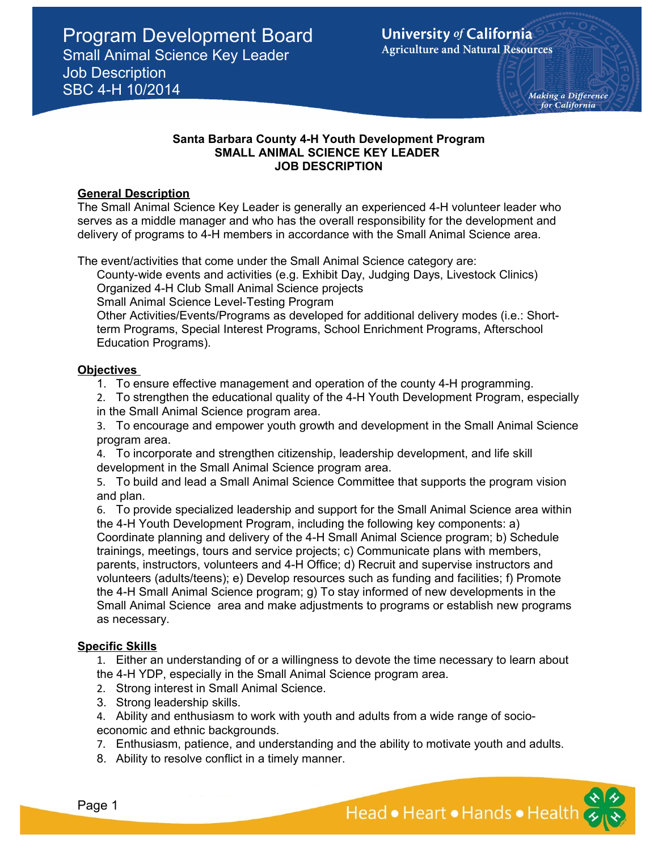## **Santa Barbara County 4-H Youth Development Program SMALL ANIMAL SCIENCE KEY LEADER JOB DESCRIPTION**

# **General Description**

The Small Animal Science Key Leader is generally an experienced 4-H volunteer leader who serves as a middle manager and who has the overall responsibility for the development and delivery of programs to 4-H members in accordance with the Small Animal Science area.

The event/activities that come under the Small Animal Science category are:

County-wide events and activities (e.g. Exhibit Day, Judging Days, Livestock Clinics) Organized 4-H Club Small Animal Science projects

Small Animal Science Level-Testing Program

Other Activities/Events/Programs as developed for additional delivery modes (i.e.: Shortterm Programs, Special Interest Programs, School Enrichment Programs, Afterschool Education Programs).

# **Objectives**

1. To ensure effective management and operation of the county 4-H programming.

2. To strengthen the educational quality of the 4-H Youth Development Program, especially in the Small Animal Science program area.

3. To encourage and empower youth growth and development in the Small Animal Science program area.

4. To incorporate and strengthen citizenship, leadership development, and life skill development in the Small Animal Science program area.

5. To build and lead a Small Animal Science Committee that supports the program vision and plan.

6. To provide specialized leadership and support for the Small Animal Science area within the 4-H Youth Development Program, including the following key components: a) Coordinate planning and delivery of the 4-H Small Animal Science program; b) Schedule trainings, meetings, tours and service projects; c) Communicate plans with members, parents, instructors, volunteers and 4-H Office; d) Recruit and supervise instructors and volunteers (adults/teens); e) Develop resources such as funding and facilities; f) Promote the 4-H Small Animal Science program; g) To stay informed of new developments in the Small Animal Science area and make adjustments to programs or establish new programs as necessary.

# **Specific Skills**

1. Either an understanding of or a willingness to devote the time necessary to learn about the 4-H YDP, especially in the Small Animal Science program area.

- 2. Strong interest in Small Animal Science.
- 3. Strong leadership skills.
- 4. Ability and enthusiasm to work with youth and adults from a wide range of socioeconomic and ethnic backgrounds.
- 7. Enthusiasm, patience, and understanding and the ability to motivate youth and adults.
- 8. Ability to resolve conflict in a timely manner.

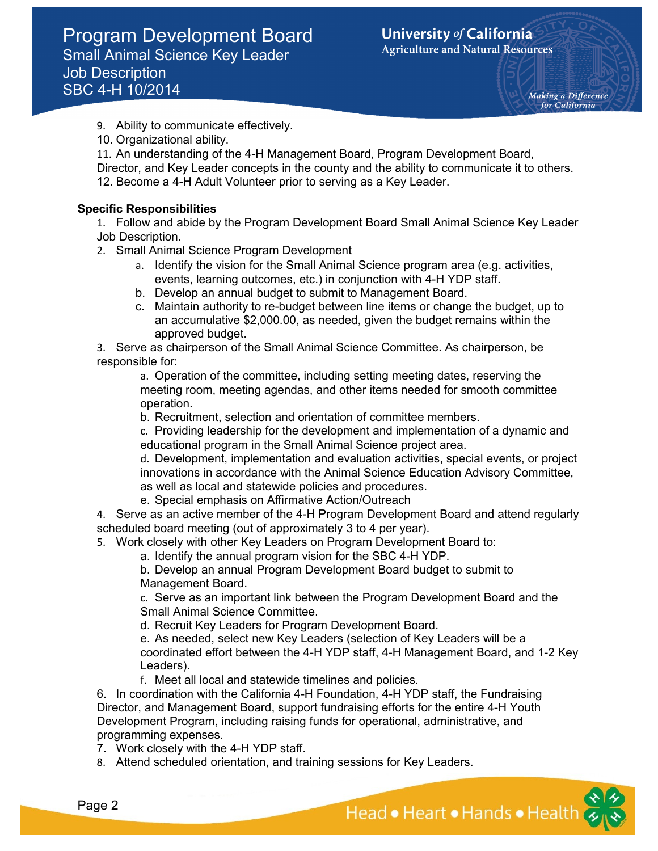Making a Difference for California

- 9. Ability to communicate effectively.
- 10. Organizational ability.

11. An understanding of the 4-H Management Board, Program Development Board, Director, and Key Leader concepts in the county and the ability to communicate it to others. 12. Become a 4-H Adult Volunteer prior to serving as a Key Leader.

# **Specific Responsibilities**

1. Follow and abide by the Program Development Board Small Animal Science Key Leader Job Description.

- 2. Small Animal Science Program Development
	- a. Identify the vision for the Small Animal Science program area (e.g. activities, events, learning outcomes, etc.) in conjunction with 4-H YDP staff.
	- b. Develop an annual budget to submit to Management Board.
	- c. Maintain authority to re-budget between line items or change the budget, up to an accumulative \$2,000.00, as needed, given the budget remains within the approved budget.

3. Serve as chairperson of the Small Animal Science Committee. As chairperson, be responsible for:

a. Operation of the committee, including setting meeting dates, reserving the meeting room, meeting agendas, and other items needed for smooth committee operation.

b. Recruitment, selection and orientation of committee members.

c. Providing leadership for the development and implementation of a dynamic and educational program in the Small Animal Science project area.

d. Development, implementation and evaluation activities, special events, or project innovations in accordance with the Animal Science Education Advisory Committee, as well as local and statewide policies and procedures.

e. Special emphasis on Affirmative Action/Outreach

4. Serve as an active member of the 4-H Program Development Board and attend regularly scheduled board meeting (out of approximately 3 to 4 per year).

5. Work closely with other Key Leaders on Program Development Board to:

a. Identify the annual program vision for the SBC 4-H YDP.

b. Develop an annual Program Development Board budget to submit to Management Board.

c. Serve as an important link between the Program Development Board and the Small Animal Science Committee.

d. Recruit Key Leaders for Program Development Board.

e. As needed, select new Key Leaders (selection of Key Leaders will be a coordinated effort between the 4-H YDP staff, 4-H Management Board, and 1-2 Key Leaders).

f. Meet all local and statewide timelines and policies.

6. In coordination with the California 4-H Foundation, 4-H YDP staff, the Fundraising Director, and Management Board, support fundraising efforts for the entire 4-H Youth Development Program, including raising funds for operational, administrative, and programming expenses.

7. Work closely with the 4-H YDP staff.

8. Attend scheduled orientation, and training sessions for Key Leaders.

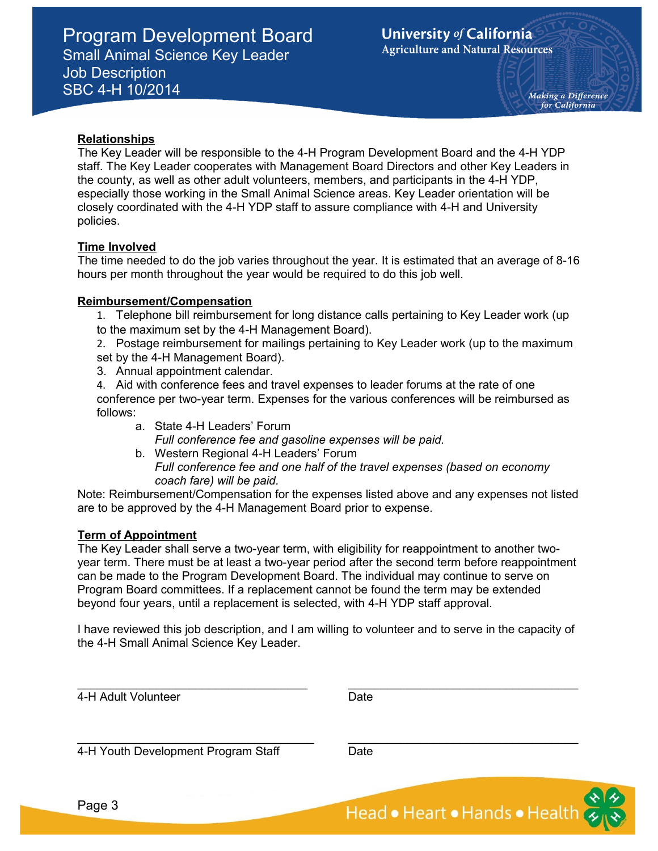Making a Difference for California

## **Relationships**

The Key Leader will be responsible to the 4-H Program Development Board and the 4-H YDP staff. The Key Leader cooperates with Management Board Directors and other Key Leaders in the county, as well as other adult volunteers, members, and participants in the 4-H YDP, especially those working in the Small Animal Science areas. Key Leader orientation will be closely coordinated with the 4-H YDP staff to assure compliance with 4-H and University policies.

## **Time Involved**

The time needed to do the job varies throughout the year. It is estimated that an average of 8-16 hours per month throughout the year would be required to do this job well.

## **Reimbursement/Compensation**

- 1. Telephone bill reimbursement for long distance calls pertaining to Key Leader work (up to the maximum set by the 4-H Management Board).
- 2. Postage reimbursement for mailings pertaining to Key Leader work (up to the maximum set by the 4-H Management Board).
- 3. Annual appointment calendar.
- 4. Aid with conference fees and travel expenses to leader forums at the rate of one conference per two-year term. Expenses for the various conferences will be reimbursed as follows:
	- a. State 4-H Leaders' Forum *Full conference fee and gasoline expenses will be paid.*
	- b. Western Regional 4-H Leaders' Forum *Full conference fee and one half of the travel expenses (based on economy coach fare) will be paid.*

Note: Reimbursement/Compensation for the expenses listed above and any expenses not listed are to be approved by the 4-H Management Board prior to expense.

# **Term of Appointment**

The Key Leader shall serve a two-year term, with eligibility for reappointment to another twoyear term. There must be at least a two-year period after the second term before reappointment can be made to the Program Development Board. The individual may continue to serve on Program Board committees. If a replacement cannot be found the term may be extended beyond four years, until a replacement is selected, with 4-H YDP staff approval.

I have reviewed this job description, and I am willing to volunteer and to serve in the capacity of the 4-H Small Animal Science Key Leader.

| 4-H Adult Volunteer                 | Date |
|-------------------------------------|------|
| 4-H Youth Development Program Staff | Date |
|                                     |      |

Head • Heart • Hands • Health